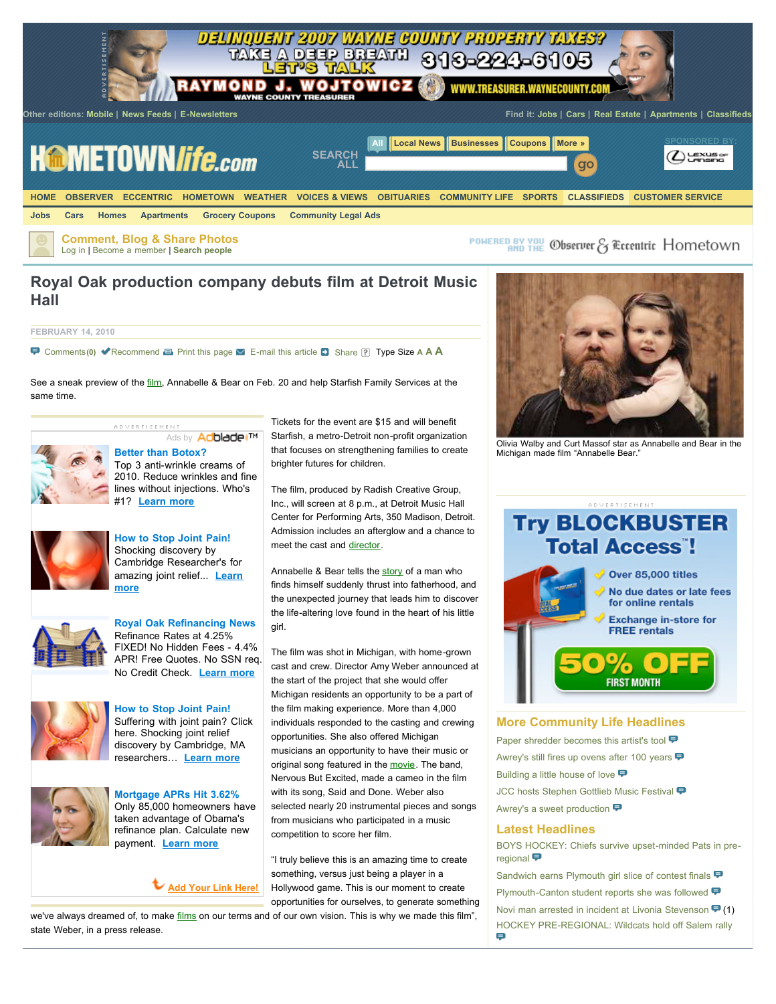

## **Royal Oak production company debuts film at Detroit Music Hall**

**FEBRUARY 14, 2010**

[Comments](javascript:gsl.redirectToCommentPage(%7BcommentCount:0%7D))**(0)** [Recommend](javascript:%20void(%22Recommend%22)) [Print this page](javascript:void(null);) [E-mail this article](javascript:void(null);) [Share](javascript:void(null);) Type Size **[A](javascript:void(null);) [A](javascript:void(null);) [A](javascript:void(null);)**

See a sneak preview of the *film*, Annabelle & Bear on Feb. 20 and help Starfish Family Services at the same time.



## Ads by **Adbiade [Better than Botox?](http://web.adblade.com/clicks.php?appId=708&zid=4b8c3ff844663&adId=11619&zoneId=53)**

**ADVERTISEMENT** 

Top 3 anti-wrinkle creams of [2010. Reduce wrinkles and fine](http://web.adblade.com/clicks.php?appId=708&zid=4b8c3ff844663&adId=11619&zoneId=53) lines without injections. Who's #1? **[Learn more](http://web.adblade.com/clicks.php?appId=708&zid=4b8c3ff844663&adId=11619&zoneId=53)**



**[How to Stop Joint Pain!](http://web.adblade.com/clicks.php?appId=708&zid=4b8306590f179&adId=11416&zoneId=53)** Shocking discovery by [Cambridge Researcher's for](http://web.adblade.com/clicks.php?appId=708&zid=4b8306590f179&adId=11416&zoneId=53) [amazing joint relief...](http://web.adblade.com/clicks.php?appId=708&zid=4b8306590f179&adId=11416&zoneId=53) **Learn more**





**[How to Stop Joint Pain!](http://web.adblade.com/clicks.php?appId=708&zid=4b38fff4df96c&adId=10155&zoneId=53)**





**[Mortgage APRs Hit 3.62%](http://web.adblade.com/clicks.php?appId=708&zid=4b68b07bd5eb3&adId=10934&zoneId=53)** [Only 85,000 homeowners have](http://web.adblade.com/clicks.php?appId=708&zid=4b68b07bd5eb3&adId=10934&zoneId=53) taken advantage of Obama's refinance plan. Calculate new payment. **[Learn more](http://web.adblade.com/clicks.php?appId=708&zid=4b68b07bd5eb3&adId=10934&zoneId=53)**

**[Add Your Link Here!](https://www.adblade.com/?section=registration&action=advertiser&refAppId=708)**

Tickets for the event are \$15 and will benefit Starfish, a metro-Detroit non-profit organization that focuses on strengthening families to create brighter futures for children.

The film, produced by Radish Creative Group, Inc., will screen at 8 p.m., at Detroit Music Hall Center for Performing Arts, 350 Madison, Detroit. Admission includes an afterglow and a chance to meet the cast and [director](http://www.hometownlife.com/article/20100214/LIFE/2140304#).

Annabelle & Bear tells the [story](http://www.hometownlife.com/article/20100214/LIFE/2140304#) of a man who finds himself suddenly thrust into fatherhood, and the unexpected journey that leads him to discover the life-altering love found in the heart of his little girl.

The film was shot in Michigan, with home-grown cast and crew. Director Amy Weber announced at the start of the project that she would offer Michigan residents an opportunity to be a part of the film making experience. More than 4,000 individuals responded to the casting and crewing opportunities. She also offered Michigan musicians an opportunity to have their music or original song featured in the [movie](http://www.hometownlife.com/article/20100214/LIFE/2140304#). The band, Nervous But Excited, made a cameo in the film with its song, Said and Done. Weber also selected nearly 20 instrumental pieces and songs from musicians who participated in a music competition to score her film.

"I truly believe this is an amazing time to create something, versus just being a player in a Hollywood game. This is our moment to create opportunities for ourselves, to generate something

we've always dreamed of, to make [films](http://www.hometownlife.com/article/20100214/LIFE/2140304#) on our terms and of our own vision. This is why we made this film", state Weber, in a press release.



Olivia Walby and Curt Massof star as Annabelle and Bear in the Michigan made film "Annabelle Bear."



**FIRST MONTH** 

## **More Community Life Headlines**

[Paper shredder becomes this artist's tool](http://www.hometownlife.com/article/20100228/LIFE/2280317/Paper-shredder-becomes-this-artist-s-tool) **□** [Awrey's still fires up ovens after 100 years](http://www.hometownlife.com/article/20100228/LIFE/2280413/Awrey-s-still-fires-up-ovens-after-100-years) **↔** [Building a little house of love](http://www.hometownlife.com/article/20100228/LIFE/2280376/Building-a-little-house-of-love) [JCC hosts Stephen Gottlieb Music Festival](http://www.hometownlife.com/article/20100228/LIFE/2280315/JCC-hosts-Stephen-Gottlieb-Music-Festival) [Awrey's a sweet production](http://www.hometownlife.com/article/20100228/LIFE/2280412/Awrey-s-a-sweet-production)

## **Latest Headlines**

[BOYS HOCKEY: Chiefs survive upset-minded Pats in pre](http://www.hometownlife.com/article/20100302/SPORTS03/100303004/0/LIFE/BOYS-HOCKEY-Chiefs-survive-upset-minded-Pats-in-pre-regional)regional

[Sandwich earns Plymouth girl slice of contest finals](http://www.hometownlife.com/article/20100302/NEWS15/100302013/0/LIFE/Sandwich-earns-Plymouth-girl-slice-of-contest-finals) [Plymouth-Canton student reports she was followed](http://www.hometownlife.com/article/20100302/NEWS03/100302012/0/LIFE/Plymouth-Canton-student-reports-she-was-followed) **□** [Novi man arrested in incident at Livonia Stevenson](http://www.hometownlife.com/article/20100302/NEWS10/100302011/0/LIFE/Novi-man-arrested-in-incident-at-Livonia-Stevenson) ♥ (1) [HOCKEY PRE-REGIONAL: Wildcats hold off Salem rally](http://www.hometownlife.com/article/20100301/SPORTS03/100302006/0/LIFE/HOCKEY-PRE-REGIONAL-Wildcats-hold-off-Salem-rally) Ξ